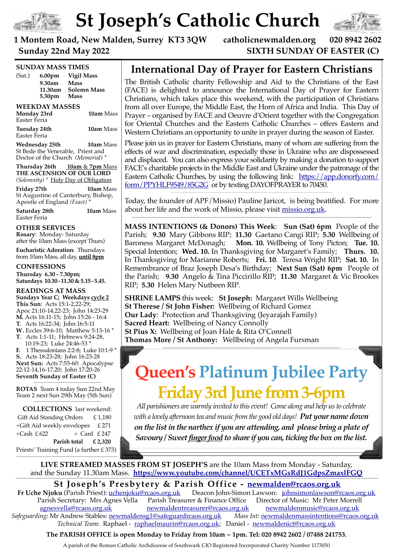

## $\sim \Omega$ **Kingston Road New Malden St Joseph's Catholic Church**



020 8942 2602  $20T$ 

Haiti earthquake victims

### 1 Montem Road, New Malden, Surrey KT3 3QW catholicnewmalden.org 020 8942 2602  $\overline{a}$   $\overline{a}$

#### $\sum$  called  $\sum$   $\sum$ **22nd May 2022** SIXTH SUNDAY OF EASTER (C)

|                              | <b>SUNDAY MASS TIMES</b>                                                                                                        |                                                                                                                                                                                                                                                                                                                                                                                       |  |
|------------------------------|---------------------------------------------------------------------------------------------------------------------------------|---------------------------------------------------------------------------------------------------------------------------------------------------------------------------------------------------------------------------------------------------------------------------------------------------------------------------------------------------------------------------------------|--|
| (Sat.)                       | 6.00 <sub>pm</sub><br>9.30am<br>11.30am<br>5.30pm                                                                               | <b>Vigil Mass</b><br>Mass<br><b>Solemn Mass</b><br><b>Mass</b>                                                                                                                                                                                                                                                                                                                        |  |
|                              |                                                                                                                                 |                                                                                                                                                                                                                                                                                                                                                                                       |  |
| Monday 23rd<br>Easter Feria  | <b>WEEKDAY MASSES</b>                                                                                                           | <b>10am</b> Mass                                                                                                                                                                                                                                                                                                                                                                      |  |
| Tuesday 24th<br>Easter Feria |                                                                                                                                 | <b>10am</b> Mass                                                                                                                                                                                                                                                                                                                                                                      |  |
|                              | Wednesday 25th                                                                                                                  | <b>10am</b> Mass<br>St Bede the Venerable, Priest and<br>Doctor of the Church (Memorial) *                                                                                                                                                                                                                                                                                            |  |
|                              |                                                                                                                                 | Thursday 26th 10am & 7pm Mass<br>THE ASCENSION OF OUR LORD<br>(Solemnity) * Holy Day of Obligation                                                                                                                                                                                                                                                                                    |  |
| Friday 27th                  | Apostle of England (Feast)*                                                                                                     | 10am Mass<br>St Augustine of Canterbury, Bishop,                                                                                                                                                                                                                                                                                                                                      |  |
| Easter Feria                 | Saturday 28th                                                                                                                   | 10am Mass                                                                                                                                                                                                                                                                                                                                                                             |  |
|                              | <b>OTHER SERVICES</b><br>Rosary: Monday-Saturday                                                                                | after the 10am Mass (except Thurs)                                                                                                                                                                                                                                                                                                                                                    |  |
|                              |                                                                                                                                 | <b>Eucharistic Adoration: Thursdays</b><br>from 10am Mass, all day, until 8pm                                                                                                                                                                                                                                                                                                         |  |
|                              | <b>CONFESSIONS</b>                                                                                                              |                                                                                                                                                                                                                                                                                                                                                                                       |  |
|                              | Thursday 6.30 - 7.30pm;                                                                                                         | Saturdays 10.30 - 11.30 & 5.15 - 5.45.                                                                                                                                                                                                                                                                                                                                                |  |
| F.                           | <b>READINGS AT MASS</b><br>This Sun: Acts 15:1-2,22-29;<br><b>T.</b> Acts 16:22-34; John 16:5-11<br>10:19-23; Luke 24:46-53 $*$ | Sundays Year C; Weekdays cycle 2<br>Apoc 21:10-14,22-23; John 14:23-29<br><b>M.</b> Acts 16:11-15; John 15:26 - 16:4<br>W. Eccles 39:6-10; Matthew 5:13-16 *<br>T. Acts 1:1-11; Hebrews 9:24-28,<br>1 Thessalonians 2:2-8; Luke 10:1-9 *<br>S. Acts 18:23-28; John 16:23-28<br>Next Sun: Acts 7:55-60: Apocalypse<br>22:12-14,16-17,20; John 17:20-26<br>Seventh Sunday of Easter (C) |  |
|                              |                                                                                                                                 | <b>ROTAS</b> Team 4 today Sun 22nd May<br>Team 2 next Sun 29th May (5th Sun)                                                                                                                                                                                                                                                                                                          |  |
|                              |                                                                                                                                 | <b>COLLECTIONS</b> last weekend:                                                                                                                                                                                                                                                                                                                                                      |  |
|                              | Gift Aid Standing Orders                                                                                                        | £1,180                                                                                                                                                                                                                                                                                                                                                                                |  |
| +Cash $£622$                 | +Gift Aid weekly envelopes                                                                                                      | £ 271<br>$+$ Card £247                                                                                                                                                                                                                                                                                                                                                                |  |

**Parish total £ 2,320**

Priests' Training Fund (a further £ 373) **——————————————————————————————————————**

**———————————————————————————————————————————————————————————————————————————————————————————**

#### one of the cleverest men in history. rayer for Eastern Cl International Day of Prayer for Eastern Christians

catholicnewmalden.org

"H SUNDAY OF " ' !\*. & &% #'& '\$ ) & ! &! !

The British Catholic charity Fellowship and Aid to the Christians of the East (FACE) is delighted to announce the International Day of Prayer for Eastern Christians, which takes place this weekend, with the participation of Christians t, the Horn of Africa and Ind Prayer – organised by FACE and Oeuvre d'Orient together with the Congregation for Oriental Churches and the Eastern Catholic Churches - offers Eastern and  $\mathcal{L} = \mathcal{L} \times \mathcal{L} = \mathcal{L} \times \mathcal{L} = \mathcal{L} \times \mathcal{L} = \mathcal{L} \times \mathcal{L} = \mathcal{L} \times \mathcal{L}$ unic in prayer utility the sea Western Christians an opportunity to unite in prayer during the season of Easter. from all over Europe, the Middle East, the Horn of Africa and India. This Day of

Please join us in prayer for Eastern Christians, many of whom are suffering from the effects of war and discrimination, especially those in Ukraine who are dispossessed and displaced. You can also express your solidarity by making a donation to support FACE's charitable projects in the Middle East and Ukraine under the patronage of the Eastern Catholic Churches, by using the following link: [https://app.donorfy.com/](https://app.donorfy.com/form/PPYHLF9549/85G2G)  $n_{\alpha}$  D avourder [form/PPYHLF9549/85G2G](https://app.donorfy.com/form/PPYHLF9549/85G2G) or by texting DAYOFPRAYER to 70450.

Today, the founder of APF/Missio) Pauline Jaricot, is being beatified. For more about her life and the work of Missio, please visit <u>missio.org.uk</u>. Tel. 020 8942 2602 E-mail: st joseph**.**newmalden@btinternet**.**com Fax 020 8949 2702

that human learning can and should be in harmony with Divine

**MASS INTENTIONS (& Donors) This Week**: **Sun (Sat) 6pm** People of the Parish; **9.30** Mary Gibbons RIP; **11.30** Gaetano Cangi RIP; **5.30** Wellbeing of Baroness Margaret McDonagh; **Mon. 10.** Wellbeing of Tony Picton; **Tue. 10.**  Special Intention; **Wed. 10.** In Thanksgiving for Margaret's Family; **Thurs. 10.**  In Thanksgiving for Marianne Roberts; **Fri. 10**. Teresa Wright RIP; **Sat. 10.** In Remembrance of Braz Joseph Desa's Birthday; **Next Sun (Sat) 6pm** People of the Parish; **9.30** Angelo & Tina Piccirillo RIP; **11.30** Margaret & Vic Brookes RIP; **5.30** Helen Mary Nutbeen RIP*.*

**SHRINE LAMPS** this week: **St Joseph:** Margaret Wills Wellbeing **St Therese / St John Fisher:** Wellbeing of Richard Gomez **Our Lady**: Protection and Thanksgiving (Jeyarajah Family) **Sacred Heart:** Wellbeing of Nancy Connolly **St Pius X:** Wellbeing of Joan Hale & Rita O'Connell **Thomas More / St Anthony:** Wellbeing of Angela Fursman

# **Queen's Platinum Jubilee Party Friday 3rd June from 3-6pm**

*All parishioners are warmly invited to this event! Come along and help us to celebrate with a lovely afternoon tea and music from the good old days! Put your name down on the list in the narthex if you are attending, and please bring a plate of Savoury / Sweet finger food to share if you can, ticking the box on the list.*

**LIVE STREAMED MASSES FROM ST JOSEPH'S** are the 10am Mass from Monday - Saturday, and the Sunday 11.30am Mass. <https://www.youtube.com/channel/UCETxMGsRdJ1GdpsZmaxlFGQ>

**St Joseph's Presbytery & Parish Office - <u>[newmalden@rcaos.org.uk](mailto:newmalden@rcaos.org.uk)</u><br>Fr Uche Njoku (Parish Priest): <u>uchenjoku@rcaos.org.uk</u> Deacon John-Simon Lawson: johnsimonlawson@r** Deacon John-Simon Lawson: [johnsimonlawson@rcaos.org.uk](mailto:johnsimonlawson@rcaos.org.uk) Parish Secretary: Mrs Agnes Vella Parish Treasurer & Finance Office Director of Music: Mr Peter Morrell [agnesvella@rcaos.org.uk](mailto:agnesvella@rcaos.org.uk) [newmaldentreasurer@rcaos.org.uk](mailto:newmaldentreasurer@rcaos.org.uk) [newmaldenmusic@rcaos.org.uk](mailto:newmaldenmusic@rcaos.org.uk) *Safeguarding*: Mr Andrew Stables: [newmaldensg1@safeguardrcaos.org.uk](mailto:newmaldensg1@safeguardrcaos.org.uk) *Mass Int*: [newmaldenmassintentions@rcaos.org.uk](mailto:newmaldenmassintentions@rcaos.org.uk)  *Technical Team*: Raphael - [raphaelmaurin@rcaos.org.uk;](mailto:raphaelmaurin@rcaos.org.uk) Daniel - [newmaldenict@rcaos.org.uk](mailto:newmaldenict@rcaos.org.uk)

**The PARISH OFFICE is open Monday to Friday from 10am ~ 1pm. Tel: 020 8942 2602 / 07488 241753.**

A parish of the Roman Catholic Archdiocese of Southwark CIO Registered Incorporated Charity Number 1173050